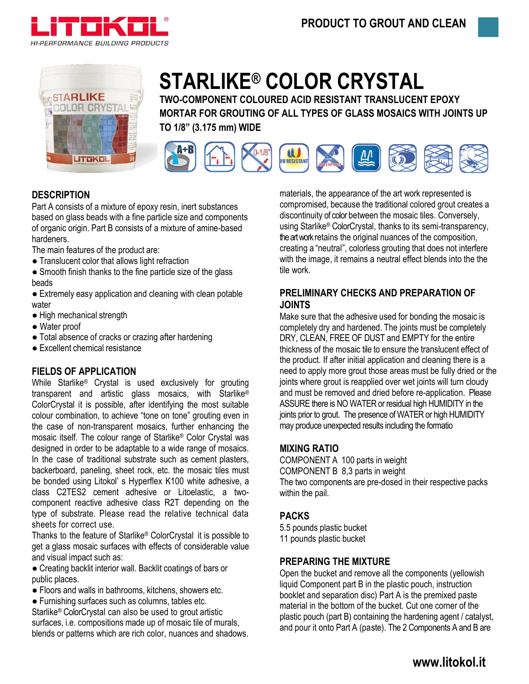



# **STARLIKE® COLOR CRYSTAL**

**TWO-COMPONENT COLOURED ACID RESISTANT TRANSLUCENT EPOXY MORTAR FOR GROUTING OF ALL TYPES OF GLASS MOSAICS WITH JOINTS UP TO 1/8" (3.175 mm) WIDE**



# **DESCRIPTION**

Part A consists of a mixture of epoxy resin, inert substances based on glass beads with a fine particle size and components of organic origin. Part B consists of a mixture of amine-based hardeners.

The main features of the product are:

● Translucent color that allows light refraction

• Smooth finish thanks to the fine particle size of the glass beads

• Extremely easy application and cleaning with clean potable water

- High mechanical strength
- Water proof
- Total absence of cracks or crazing after hardening
- Excellent chemical resistance

# **FIELDS OF APPLICATION**

While Starlike® Crystal is used exclusively for grouting transparent and artistic glass mosaics, with Starlike® ColorCrystal it is possible, after identifying the most suitable colour combination, to achieve "tone on tone" grouting even in the case of non-transparent mosaics, further enhancing the mosaic itself. The colour range of Starlike® Color Crystal was designed in order to be adaptable to a wide range of mosaics. In the case of traditional substrate such as cement plasters, backerboard, paneling, sheet rock, etc. the mosaic tiles must be bonded using Litokol' s Hyperflex K100 white adhesive, a class C2TES2 cement adhesive or Litoelastic, a twocomponent reactive adhesive class R2T depending on the type of substrate. Please read the relative technical data sheets for correct use.

Thanks to the feature of Starlike® ColorCrystal it is possible to get a glass mosaic surfaces with effects of considerable value and visual impact such as:

- Creating backlit interior wall. Backlit coatings of bars or public places.
- Floors and walls in bathrooms, kitchens, showers etc.
- Furnishing surfaces such as columns, tables etc.

Starlike® ColorCrystal can also be used to grout artistic surfaces, i.e. compositions made up of mosaic tile of murals, blends or patterns which are rich color, nuances and shadows.

materials, the appearance of the art work represented is compromised, because the traditional colored grout creates a discontinuity of color between the mosaic tiles. Conversely, using Starlike® ColorCrystal, thanks to its semi-transparency, the art work retains the original nuances of the composition, creating a "neutral", colorless grouting that does not interfere with the image, it remains a neutral effect blends into the the tile work.

# **PRELIMINARY CHECKS AND PREPARATION OF JOINTS**

Make sure that the adhesive used for bonding the mosaic is completely dry and hardened. The joints must be completely DRY, CLEAN, FREE OF DUST and EMPTY for the entire thickness of the mosaic tile to ensure the translucent effect of the product. If after initial application and cleaning there is a need to apply more grout those areas must be fully dried or the joints where grout is reapplied over wet joints will turn cloudy and must be removed and dried before re-application. Please ASSURE there is NO WATER or residual high HUMIDITY in the joints prior to grout. The presence of WATER or high HUMIDITY may produce unexpected results including the formatio

# **MIXING RATIO**

COMPONENT A 100 parts in weight COMPONENT B 8,3 parts in weight The two components are pre-dosed in their respective packs within the pail.

# **PACKS**

5.5 pounds plastic bucket 11 pounds plastic bucket

# **PREPARING THE MIXTURE**

Open the bucket and remove all the components (yellowish liquid Component part B in the plastic pouch, instruction booklet and separation disc) Part A is the premixed paste material in the bottom of the bucket. Cut one corner of the plastic pouch (part B) containing the hardening agent / catalyst, and pour it onto Part A (paste). The 2 Components A and B are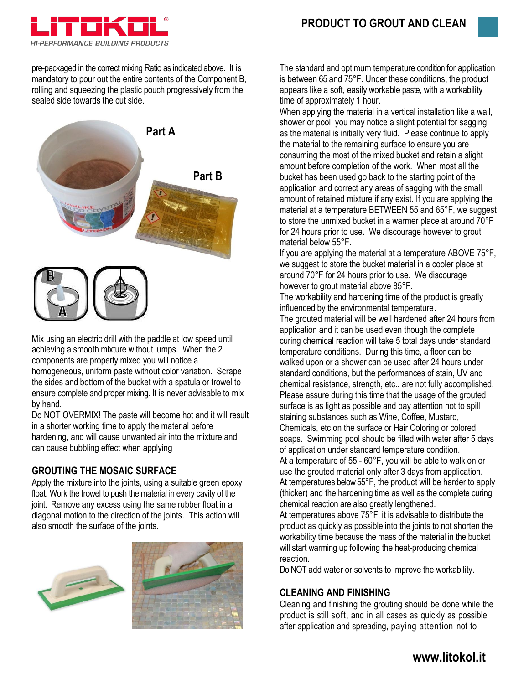

pre-packaged in the correct mixing Ratio as indicated above. It is mandatory to pour out the entire contents of the Component B, rolling and squeezing the plastic pouch progressively from the sealed side towards the cut side.



Mix using an electric drill with the paddle at low speed until achieving a smooth mixture without lumps. When the 2 components are properly mixed you will notice a homogeneous, uniform paste without color variation. Scrape the sides and bottom of the bucket with a spatula or trowel to ensure complete and proper mixing. It is never advisable to mix by hand.

Do NOT OVERMIX! The paste will become hot and it will result in a shorter working time to apply the material before hardening, and will cause unwanted air into the mixture and can cause bubbling effect when applying

# **GROUTING THE MOSAIC SURFACE**

Apply the mixture into the joints, using a suitable green epoxy float. Work the trowel to push the material in every cavity of the joint. Remove any excess using the same rubber float in a diagonal motion to the direction of the joints. This action will also smooth the surface of the joints.





The standard and optimum temperature condition for application is between 65 and 75°F. Under these conditions, the product appears like a soft, easily workable paste, with a workability time of approximately 1 hour.

When applying the material in a vertical installation like a wall, shower or pool, you may notice a slight potential for sagging as the material is initially very fluid. Please continue to apply the material to the remaining surface to ensure you are consuming the most of the mixed bucket and retain a slight amount before completion of the work. When most all the bucket has been used go back to the starting point of the application and correct any areas of sagging with the small amount of retained mixture if any exist. If you are applying the material at a temperature BETWEEN 55 and 65°F, we suggest to store the unmixed bucket in a warmer place at around 70°F for 24 hours prior to use. We discourage however to grout material below 55°F.

If you are applying the material at a temperature ABOVE 75°F, we suggest to store the bucket material in a cooler place at around 70°F for 24 hours prior to use. We discourage however to grout material above 85°F.

The workability and hardening time of the product is greatly influenced by the environmental temperature.

The grouted material will be well hardened after 24 hours from application and it can be used even though the complete curing chemical reaction will take 5 total days under standard temperature conditions. During this time, a floor can be walked upon or a shower can be used after 24 hours under standard conditions, but the performances of stain, UV and chemical resistance, strength, etc.. are not fully accomplished. Please assure during this time that the usage of the grouted surface is as light as possible and pay attention not to spill staining substances such as Wine, Coffee, Mustard, Chemicals, etc on the surface or Hair Coloring or colored soaps. Swimming pool should be filled with water after 5 days of application under standard temperature condition. At a temperature of 55 - 60°F, you will be able to walk on or use the grouted material only after 3 days from application. At temperatures below 55°F, the product will be harder to apply (thicker) and the hardening time as well as the complete curing chemical reaction are also greatly lengthened. At temperatures above 75°F, it is advisable to distribute the product as quickly as possible into the joints to not shorten the workability time because the mass of the material in the bucket

reaction. Do NOT add water or solvents to improve the workability.

will start warming up following the heat-producing chemical

# **CLEANING AND FINISHING**

Cleaning and finishing the grouting should be done while the product is still soft, and in all cases as quickly as possible after application and spreading, paying attention not to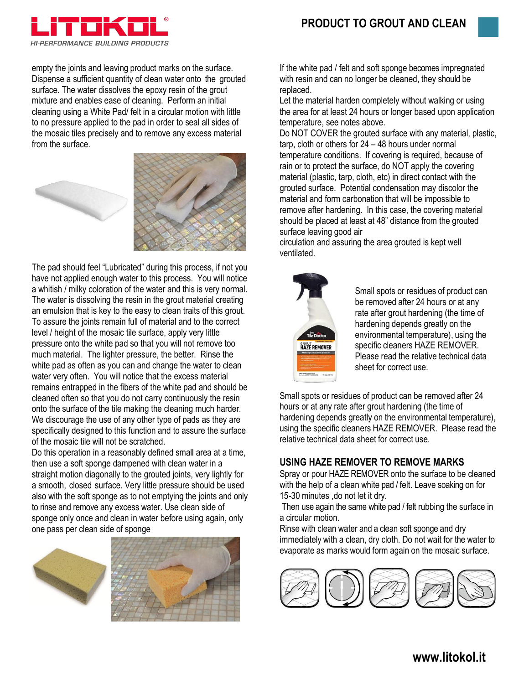

empty the joints and leaving product marks on the surface. Dispense a sufficient quantity of clean water onto the grouted surface. The water dissolves the epoxy resin of the grout mixture and enables ease of cleaning. Perform an initial cleaning using a White Pad/ felt in a circular motion with little to no pressure applied to the pad in order to seal all sides of the mosaic tiles precisely and to remove any excess material from the surface.





The pad should feel "Lubricated" during this process, if not you have not applied enough water to this process. You will notice a whitish / milky coloration of the water and this is very normal. The water is dissolving the resin in the grout material creating an emulsion that is key to the easy to clean traits of this grout. To assure the joints remain full of material and to the correct level / height of the mosaic tile surface, apply very little pressure onto the white pad so that you will not remove too much material. The lighter pressure, the better. Rinse the white pad as often as you can and change the water to clean water very often. You will notice that the excess material remains entrapped in the fibers of the white pad and should be cleaned often so that you do not carry continuously the resin onto the surface of the tile making the cleaning much harder. We discourage the use of any other type of pads as they are specifically designed to this function and to assure the surface of the mosaic tile will not be scratched.

Do this operation in a reasonably defined small area at a time, then use a soft sponge dampened with clean water in a straight motion diagonally to the grouted joints, very lightly for a smooth, closed surface. Very little pressure should be used also with the soft sponge as to not emptying the joints and only to rinse and remove any excess water. Use clean side of sponge only once and clean in water before using again, only one pass per clean side of sponge





If the white pad / felt and soft sponge becomes impregnated with resin and can no longer be cleaned, they should be replaced.

Let the material harden completely without walking or using the area for at least 24 hours or longer based upon application temperature, see notes above.

Do NOT COVER the grouted surface with any material, plastic, tarp, cloth or others for 24 – 48 hours under normal temperature conditions. If covering is required, because of rain or to protect the surface, do NOT apply the covering material (plastic, tarp, cloth, etc) in direct contact with the grouted surface. Potential condensation may discolor the material and form carbonation that will be impossible to remove after hardening. In this case, the covering material should be placed at least at 48" distance from the grouted surface leaving good air

circulation and assuring the area grouted is kept well ventilated.



Small spots or residues of product can be removed after 24 hours or at any rate after grout hardening (the time of hardening depends greatly on the environmental temperature), using the specific cleaners HAZE REMOVER. Please read the relative technical data sheet for correct use.

Small spots or residues of product can be removed after 24 hours or at any rate after grout hardening (the time of hardening depends greatly on the environmental temperature), using the specific cleaners HAZE REMOVER. Please read the relative technical data sheet for correct use.

# **USING HAZE REMOVER TO REMOVE MARKS**

Spray or pour HAZE REMOVER onto the surface to be cleaned with the help of a clean white pad / felt. Leave soaking on for 15-30 minutes ,do not let it dry.

Then use again the same white pad / felt rubbing the surface in a circular motion.

Rinse with clean water and a clean soft sponge and dry immediately with a clean, dry cloth. Do not wait for the water to evaporate as marks would form again on the mosaic surface.

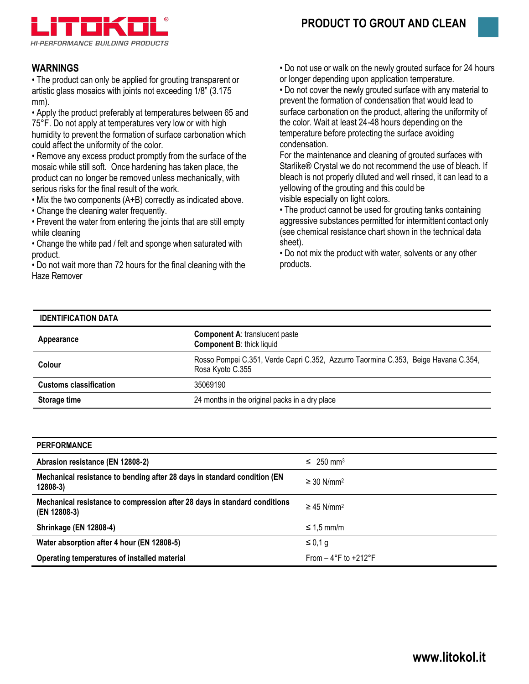



# **WARNINGS**

• The product can only be applied for grouting transparent or artistic glass mosaics with joints not exceeding 1/8" (3.175 mm).

• Apply the product preferably at temperatures between 65 and 75°F. Do not apply at temperatures very low or with high humidity to prevent the formation of surface carbonation which could affect the uniformity of the color.

• Remove any excess product promptly from the surface of the mosaic while still soft. Once hardening has taken place, the product can no longer be removed unless mechanically, with serious risks for the final result of the work.

• Mix the two components (A+B) correctly as indicated above. • Change the cleaning water frequently.

• Prevent the water from entering the joints that are still empty while cleaning

• Change the white pad / felt and sponge when saturated with product.

• Do not wait more than 72 hours for the final cleaning with the Haze Remover

• Do not use or walk on the newly grouted surface for 24 hours or longer depending upon application temperature.

• Do not cover the newly grouted surface with any material to prevent the formation of condensation that would lead to surface carbonation on the product, altering the uniformity of the color. Wait at least 24-48 hours depending on the temperature before protecting the surface avoiding condensation.

For the maintenance and cleaning of grouted surfaces with Starlike® Crystal we do not recommend the use of bleach. If bleach is not properly diluted and well rinsed, it can lead to a yellowing of the grouting and this could be visible especially on light colors.

• The product cannot be used for grouting tanks containing aggressive substances permitted for intermittent contact only (see chemical resistance chart shown in the technical data sheet).

• Do not mix the product with water, solvents or any other products.

### **IDENTIFICATION DATA**

| Appearance                    | <b>Component A: translucent paste</b><br><b>Component B: thick liquid</b>                              |  |
|-------------------------------|--------------------------------------------------------------------------------------------------------|--|
| Colour                        | Rosso Pompei C.351, Verde Capri C.352, Azzurro Taormina C.353, Beige Havana C.354,<br>Rosa Kyoto C.355 |  |
| <b>Customs classification</b> | 35069190                                                                                               |  |
| Storage time                  | 24 months in the original packs in a dry place                                                         |  |

| <b>PERFORMANCE</b>                                                                        |                                         |
|-------------------------------------------------------------------------------------------|-----------------------------------------|
| Abrasion resistance (EN 12808-2)                                                          | $\leq 250$ mm <sup>3</sup>              |
| Mechanical resistance to bending after 28 days in standard condition (EN<br>$12808-3$     | $\geq$ 30 N/mm <sup>2</sup>             |
| Mechanical resistance to compression after 28 days in standard conditions<br>(EN 12808-3) | $\geq$ 45 N/mm <sup>2</sup>             |
| <b>Shrinkage (EN 12808-4)</b>                                                             | $\leq 1.5$ mm/m                         |
| Water absorption after 4 hour (EN 12808-5)                                                | $\leq 0.1$ g                            |
| Operating temperatures of installed material                                              | From $-4^{\circ}$ F to $+212^{\circ}$ F |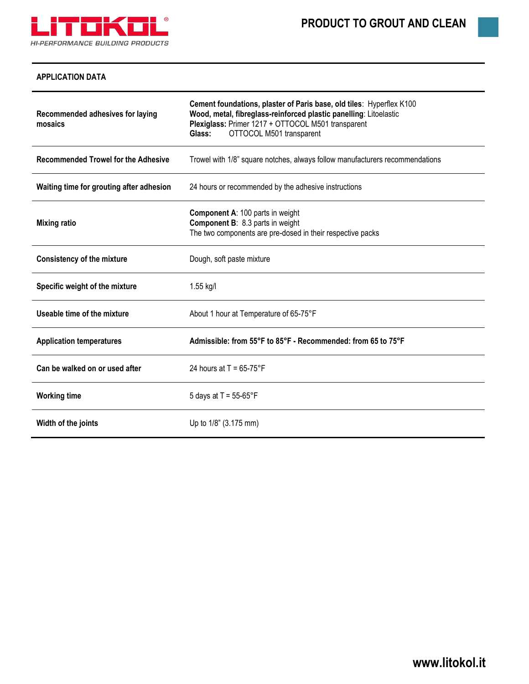

## **APPLICATION DATA**

| Recommended adhesives for laying<br>mosaics | Cement foundations, plaster of Paris base, old tiles: Hyperflex K100<br>Wood, metal, fibreglass-reinforced plastic panelling: Litoelastic<br>Plexiglass: Primer 1217 + OTTOCOL M501 transparent<br>Glass:<br>OTTOCOL M501 transparent |  |  |  |
|---------------------------------------------|---------------------------------------------------------------------------------------------------------------------------------------------------------------------------------------------------------------------------------------|--|--|--|
| <b>Recommended Trowel for the Adhesive</b>  | Trowel with 1/8" square notches, always follow manufacturers recommendations                                                                                                                                                          |  |  |  |
| Waiting time for grouting after adhesion    | 24 hours or recommended by the adhesive instructions                                                                                                                                                                                  |  |  |  |
| <b>Mixing ratio</b>                         | <b>Component A: 100 parts in weight</b><br><b>Component B: 8.3 parts in weight</b><br>The two components are pre-dosed in their respective packs                                                                                      |  |  |  |
| <b>Consistency of the mixture</b>           | Dough, soft paste mixture                                                                                                                                                                                                             |  |  |  |
| Specific weight of the mixture              | 1.55 kg/l                                                                                                                                                                                                                             |  |  |  |
| Useable time of the mixture                 | About 1 hour at Temperature of 65-75°F                                                                                                                                                                                                |  |  |  |
| <b>Application temperatures</b>             | Admissible: from 55°F to 85°F - Recommended: from 65 to 75°F                                                                                                                                                                          |  |  |  |
| Can be walked on or used after              | 24 hours at $T = 65-75$ °F                                                                                                                                                                                                            |  |  |  |
| <b>Working time</b>                         | 5 days at $T = 55-65^{\circ}F$                                                                                                                                                                                                        |  |  |  |
| Width of the joints                         | Up to 1/8" (3.175 mm)                                                                                                                                                                                                                 |  |  |  |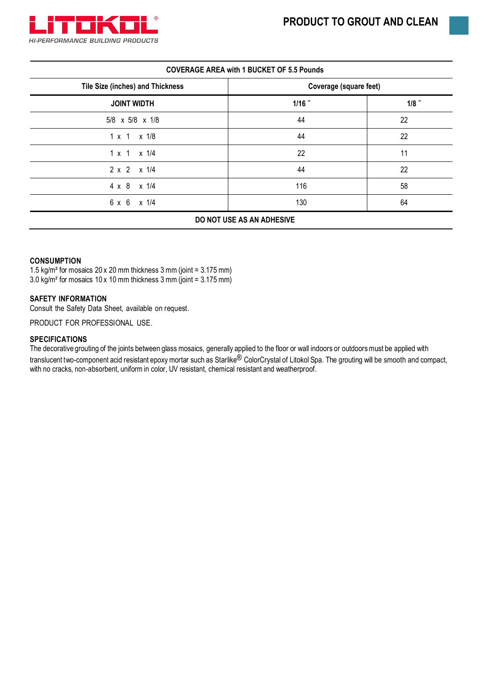

| <b>COVERAGE AREA with 1 BUCKET OF 5.5 Pounds</b> |  |  |
|--------------------------------------------------|--|--|
|--------------------------------------------------|--|--|

| Coverage (square feet) |         |  |  |
|------------------------|---------|--|--|
| $1/16$ "               | $1/8$ " |  |  |
| 44                     | 22      |  |  |
| 44                     | 22      |  |  |
| 22                     | 11      |  |  |
| 44                     | 22      |  |  |
| 116                    | 58      |  |  |
| 130                    | 64      |  |  |
|                        |         |  |  |

## **DO NOT USE AS AN ADHESIVE**

#### **CONSUMPTION**

1.5 kg/m² for mosaics 20 x 20 mm thickness 3 mm (joint = 3.175 mm) 3.0 kg/m² for mosaics 10 x 10 mm thickness 3 mm (joint = 3.175 mm)

#### **SAFETY INFORMATION**

Consult the Safety Data Sheet, available on request.

PRODUCT FOR PROFESSIONAL USE.

#### **SPECIFICATIONS**

The decorative grouting of the joints between glass mosaics, generally applied to the floor or wall indoors or outdoors must be applied with translucent two-component acid resistant epoxy mortar such as Starlike<sup>®</sup> ColorCrystal of Litokol Spa. The grouting will be smooth and compact, with no cracks, non-absorbent, uniform in color, UV resistant, chemical resistant and weatherproof.